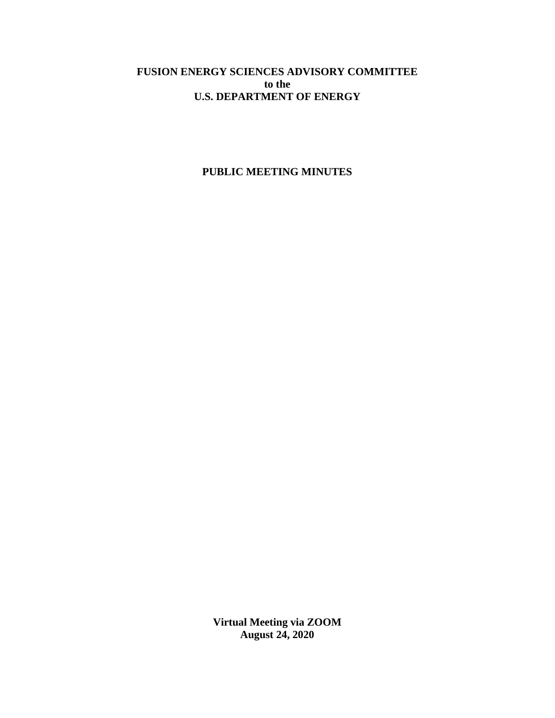# **FUSION ENERGY SCIENCES ADVISORY COMMITTEE to the U.S. DEPARTMENT OF ENERGY**

# **PUBLIC MEETING MINUTES**

**Virtual Meeting via ZOOM August 24, 2020**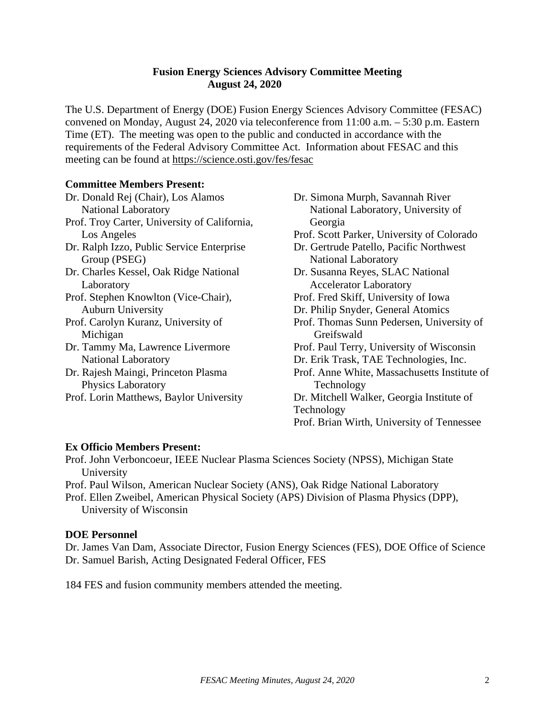## **Fusion Energy Sciences Advisory Committee Meeting August 24, 2020**

The U.S. Department of Energy (DOE) Fusion Energy Sciences Advisory Committee (FESAC) convened on Monday, August 24, 2020 via teleconference from 11:00 a.m. – 5:30 p.m. Eastern Time (ET). The meeting was open to the public and conducted in accordance with the requirements of the Federal Advisory Committee Act. Information about FESAC and this meeting can be found at<https://science.osti.gov/fes/fesac>

## **Committee Members Present:**

- Dr. Donald Rej (Chair), Los Alamos National Laboratory Prof. Troy Carter, University of California, Los Angeles Dr. Ralph Izzo, Public Service Enterprise Group (PSEG) Dr. Charles Kessel, Oak Ridge National Laboratory Prof. Stephen Knowlton (Vice-Chair), Auburn University Prof. Carolyn Kuranz, University of Michigan Dr. Tammy Ma, Lawrence Livermore National Laboratory Dr. Rajesh Maingi, Princeton Plasma Physics Laboratory Prof. Lorin Matthews, Baylor University Georgia Technology
- Dr. Simona Murph, Savannah River National Laboratory, University of
	- Prof. Scott Parker, University of Colorado
	- Dr. Gertrude Patello, Pacific Northwest National Laboratory
	- Dr. Susanna Reyes, SLAC National Accelerator Laboratory
	- Prof. Fred Skiff, University of Iowa
	- Dr. Philip Snyder, General Atomics
	- Prof. Thomas Sunn Pedersen, University of **Greifswald**
	- Prof. Paul Terry, University of Wisconsin
	- Dr. Erik Trask, TAE Technologies, Inc.
	- Prof. Anne White, Massachusetts Institute of Technology
	- Dr. Mitchell Walker, Georgia Institute of
	- Prof. Brian Wirth, University of Tennessee

# **Ex Officio Members Present:**

Prof. John Verboncoeur, IEEE Nuclear Plasma Sciences Society (NPSS), Michigan State University

Prof. Paul Wilson, American Nuclear Society (ANS), Oak Ridge National Laboratory Prof. Ellen Zweibel, American Physical Society (APS) Division of Plasma Physics (DPP), University of Wisconsin

# **DOE Personnel**

Dr. James Van Dam, Associate Director, Fusion Energy Sciences (FES), DOE Office of Science Dr. Samuel Barish, Acting Designated Federal Officer, FES

184 FES and fusion community members attended the meeting.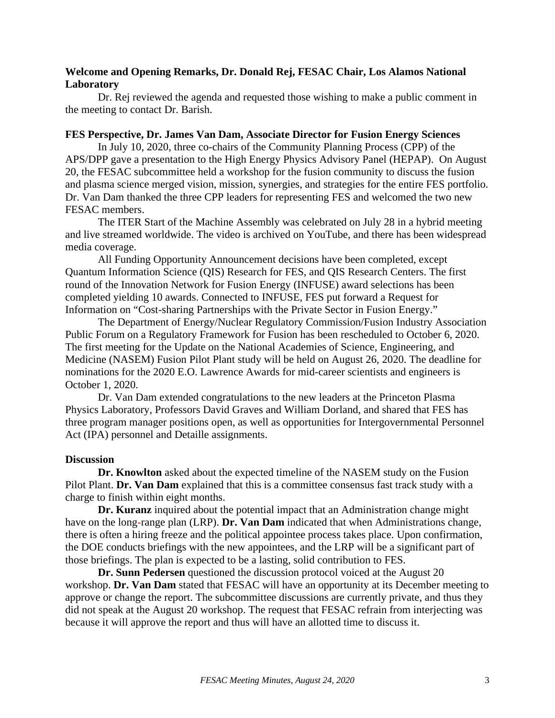## **Welcome and Opening Remarks, Dr. Donald Rej, FESAC Chair, Los Alamos National Laboratory**

Dr. Rej reviewed the agenda and requested those wishing to make a public comment in the meeting to contact Dr. Barish.

## **FES Perspective, Dr. James Van Dam, Associate Director for Fusion Energy Sciences**

In July 10, 2020, three co-chairs of the Community Planning Process (CPP) of the APS/DPP gave a presentation to the High Energy Physics Advisory Panel (HEPAP). On August 20, the FESAC subcommittee held a workshop for the fusion community to discuss the fusion and plasma science merged vision, mission, synergies, and strategies for the entire FES portfolio. Dr. Van Dam thanked the three CPP leaders for representing FES and welcomed the two new FESAC members.

The ITER Start of the Machine Assembly was celebrated on July 28 in a hybrid meeting and live streamed worldwide. The video is archived on YouTube, and there has been widespread media coverage.

All Funding Opportunity Announcement decisions have been completed, except Quantum Information Science (QIS) Research for FES, and QIS Research Centers. The first round of the Innovation Network for Fusion Energy (INFUSE) award selections has been completed yielding 10 awards. Connected to INFUSE, FES put forward a Request for Information on "Cost-sharing Partnerships with the Private Sector in Fusion Energy."

The Department of Energy/Nuclear Regulatory Commission/Fusion Industry Association Public Forum on a Regulatory Framework for Fusion has been rescheduled to October 6, 2020. The first meeting for the Update on the National Academies of Science, Engineering, and Medicine (NASEM) Fusion Pilot Plant study will be held on August 26, 2020. The deadline for nominations for the 2020 E.O. Lawrence Awards for mid-career scientists and engineers is October 1, 2020.

Dr. Van Dam extended congratulations to the new leaders at the Princeton Plasma Physics Laboratory, Professors David Graves and William Dorland, and shared that FES has three program manager positions open, as well as opportunities for Intergovernmental Personnel Act (IPA) personnel and Detaille assignments.

#### **Discussion**

**Dr. Knowlton** asked about the expected timeline of the NASEM study on the Fusion Pilot Plant. **Dr. Van Dam** explained that this is a committee consensus fast track study with a charge to finish within eight months.

**Dr. Kuranz** inquired about the potential impact that an Administration change might have on the long-range plan (LRP). **Dr. Van Dam** indicated that when Administrations change, there is often a hiring freeze and the political appointee process takes place. Upon confirmation, the DOE conducts briefings with the new appointees, and the LRP will be a significant part of those briefings. The plan is expected to be a lasting, solid contribution to FES.

**Dr. Sunn Pedersen** questioned the discussion protocol voiced at the August 20 workshop. **Dr. Van Dam** stated that FESAC will have an opportunity at its December meeting to approve or change the report. The subcommittee discussions are currently private, and thus they did not speak at the August 20 workshop. The request that FESAC refrain from interjecting was because it will approve the report and thus will have an allotted time to discuss it.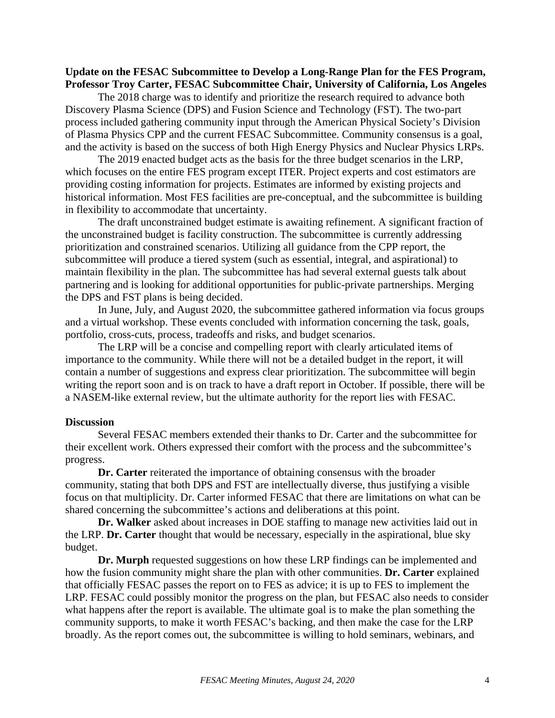#### **Update on the FESAC Subcommittee to Develop a Long-Range Plan for the FES Program, Professor Troy Carter, FESAC Subcommittee Chair, University of California, Los Angeles**

The 2018 charge was to identify and prioritize the research required to advance both Discovery Plasma Science (DPS) and Fusion Science and Technology (FST). The two-part process included gathering community input through the American Physical Society's Division of Plasma Physics CPP and the current FESAC Subcommittee. Community consensus is a goal, and the activity is based on the success of both High Energy Physics and Nuclear Physics LRPs.

The 2019 enacted budget acts as the basis for the three budget scenarios in the LRP, which focuses on the entire FES program except ITER. Project experts and cost estimators are providing costing information for projects. Estimates are informed by existing projects and historical information. Most FES facilities are pre-conceptual, and the subcommittee is building in flexibility to accommodate that uncertainty.

The draft unconstrained budget estimate is awaiting refinement. A significant fraction of the unconstrained budget is facility construction. The subcommittee is currently addressing prioritization and constrained scenarios. Utilizing all guidance from the CPP report, the subcommittee will produce a tiered system (such as essential, integral, and aspirational) to maintain flexibility in the plan. The subcommittee has had several external guests talk about partnering and is looking for additional opportunities for public-private partnerships. Merging the DPS and FST plans is being decided.

In June, July, and August 2020, the subcommittee gathered information via focus groups and a virtual workshop. These events concluded with information concerning the task, goals, portfolio, cross-cuts, process, tradeoffs and risks, and budget scenarios.

The LRP will be a concise and compelling report with clearly articulated items of importance to the community. While there will not be a detailed budget in the report, it will contain a number of suggestions and express clear prioritization. The subcommittee will begin writing the report soon and is on track to have a draft report in October. If possible, there will be a NASEM-like external review, but the ultimate authority for the report lies with FESAC.

#### **Discussion**

Several FESAC members extended their thanks to Dr. Carter and the subcommittee for their excellent work. Others expressed their comfort with the process and the subcommittee's progress.

**Dr. Carter** reiterated the importance of obtaining consensus with the broader community, stating that both DPS and FST are intellectually diverse, thus justifying a visible focus on that multiplicity. Dr. Carter informed FESAC that there are limitations on what can be shared concerning the subcommittee's actions and deliberations at this point.

**Dr. Walker** asked about increases in DOE staffing to manage new activities laid out in the LRP. **Dr. Carter** thought that would be necessary, especially in the aspirational, blue sky budget.

**Dr. Murph** requested suggestions on how these LRP findings can be implemented and how the fusion community might share the plan with other communities. **Dr. Carter** explained that officially FESAC passes the report on to FES as advice; it is up to FES to implement the LRP. FESAC could possibly monitor the progress on the plan, but FESAC also needs to consider what happens after the report is available. The ultimate goal is to make the plan something the community supports, to make it worth FESAC's backing, and then make the case for the LRP broadly. As the report comes out, the subcommittee is willing to hold seminars, webinars, and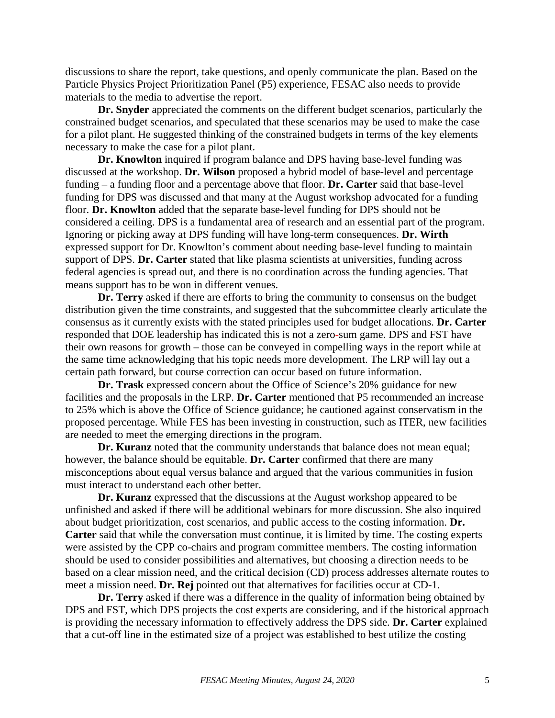discussions to share the report, take questions, and openly communicate the plan. Based on the Particle Physics Project Prioritization Panel (P5) experience, FESAC also needs to provide materials to the media to advertise the report.

**Dr. Snyder** appreciated the comments on the different budget scenarios, particularly the constrained budget scenarios, and speculated that these scenarios may be used to make the case for a pilot plant. He suggested thinking of the constrained budgets in terms of the key elements necessary to make the case for a pilot plant.

**Dr. Knowlton** inquired if program balance and DPS having base-level funding was discussed at the workshop. **Dr. Wilson** proposed a hybrid model of base-level and percentage funding – a funding floor and a percentage above that floor. **Dr. Carter** said that base-level funding for DPS was discussed and that many at the August workshop advocated for a funding floor. **Dr. Knowlton** added that the separate base-level funding for DPS should not be considered a ceiling. DPS is a fundamental area of research and an essential part of the program. Ignoring or picking away at DPS funding will have long-term consequences. **Dr. Wirth**  expressed support for Dr. Knowlton's comment about needing base-level funding to maintain support of DPS. **Dr. Carter** stated that like plasma scientists at universities, funding across federal agencies is spread out, and there is no coordination across the funding agencies. That means support has to be won in different venues.

**Dr. Terry** asked if there are efforts to bring the community to consensus on the budget distribution given the time constraints, and suggested that the subcommittee clearly articulate the consensus as it currently exists with the stated principles used for budget allocations. **Dr. Carter** responded that DOE leadership has indicated this is not a zero-sum game. DPS and FST have their own reasons for growth – those can be conveyed in compelling ways in the report while at the same time acknowledging that his topic needs more development. The LRP will lay out a certain path forward, but course correction can occur based on future information.

**Dr. Trask** expressed concern about the Office of Science's 20% guidance for new facilities and the proposals in the LRP. **Dr. Carter** mentioned that P5 recommended an increase to 25% which is above the Office of Science guidance; he cautioned against conservatism in the proposed percentage. While FES has been investing in construction, such as ITER, new facilities are needed to meet the emerging directions in the program.

**Dr. Kuranz** noted that the community understands that balance does not mean equal; however, the balance should be equitable. **Dr. Carter** confirmed that there are many misconceptions about equal versus balance and argued that the various communities in fusion must interact to understand each other better.

**Dr. Kuranz** expressed that the discussions at the August workshop appeared to be unfinished and asked if there will be additional webinars for more discussion. She also inquired about budget prioritization, cost scenarios, and public access to the costing information. **Dr. Carter** said that while the conversation must continue, it is limited by time. The costing experts were assisted by the CPP co-chairs and program committee members. The costing information should be used to consider possibilities and alternatives, but choosing a direction needs to be based on a clear mission need, and the critical decision (CD) process addresses alternate routes to meet a mission need. **Dr. Rej** pointed out that alternatives for facilities occur at CD-1.

**Dr. Terry** asked if there was a difference in the quality of information being obtained by DPS and FST, which DPS projects the cost experts are considering, and if the historical approach is providing the necessary information to effectively address the DPS side. **Dr. Carter** explained that a cut-off line in the estimated size of a project was established to best utilize the costing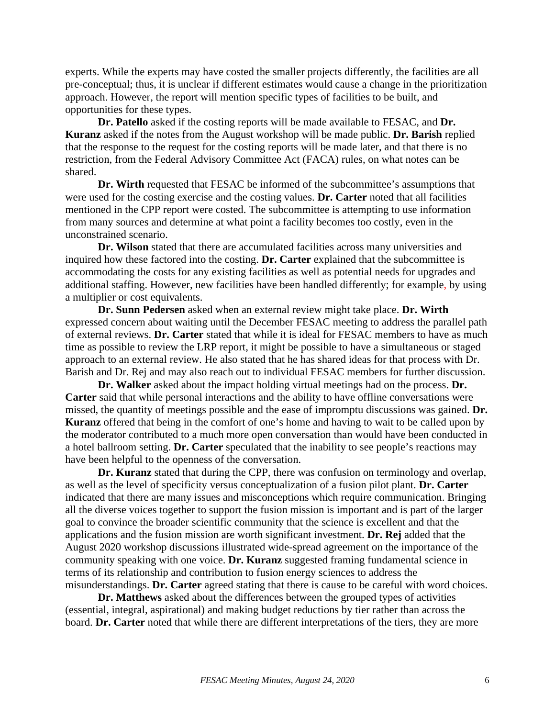experts. While the experts may have costed the smaller projects differently, the facilities are all pre-conceptual; thus, it is unclear if different estimates would cause a change in the prioritization approach. However, the report will mention specific types of facilities to be built, and opportunities for these types.

**Dr. Patello** asked if the costing reports will be made available to FESAC, and **Dr. Kuranz** asked if the notes from the August workshop will be made public. **Dr. Barish** replied that the response to the request for the costing reports will be made later, and that there is no restriction, from the Federal Advisory Committee Act (FACA) rules, on what notes can be shared.

**Dr. Wirth** requested that FESAC be informed of the subcommittee's assumptions that were used for the costing exercise and the costing values. **Dr. Carter** noted that all facilities mentioned in the CPP report were costed. The subcommittee is attempting to use information from many sources and determine at what point a facility becomes too costly, even in the unconstrained scenario.

**Dr. Wilson** stated that there are accumulated facilities across many universities and inquired how these factored into the costing. **Dr. Carter** explained that the subcommittee is accommodating the costs for any existing facilities as well as potential needs for upgrades and additional staffing. However, new facilities have been handled differently; for example, by using a multiplier or cost equivalents.

**Dr. Sunn Pedersen** asked when an external review might take place. **Dr. Wirth** expressed concern about waiting until the December FESAC meeting to address the parallel path of external reviews. **Dr. Carter** stated that while it is ideal for FESAC members to have as much time as possible to review the LRP report, it might be possible to have a simultaneous or staged approach to an external review. He also stated that he has shared ideas for that process with Dr. Barish and Dr. Rej and may also reach out to individual FESAC members for further discussion.

**Dr. Walker** asked about the impact holding virtual meetings had on the process. **Dr. Carter** said that while personal interactions and the ability to have offline conversations were missed, the quantity of meetings possible and the ease of impromptu discussions was gained. **Dr. Kuranz** offered that being in the comfort of one's home and having to wait to be called upon by the moderator contributed to a much more open conversation than would have been conducted in a hotel ballroom setting. **Dr. Carter** speculated that the inability to see people's reactions may have been helpful to the openness of the conversation.

**Dr. Kuranz** stated that during the CPP, there was confusion on terminology and overlap, as well as the level of specificity versus conceptualization of a fusion pilot plant. **Dr. Carter** indicated that there are many issues and misconceptions which require communication. Bringing all the diverse voices together to support the fusion mission is important and is part of the larger goal to convince the broader scientific community that the science is excellent and that the applications and the fusion mission are worth significant investment. **Dr. Rej** added that the August 2020 workshop discussions illustrated wide-spread agreement on the importance of the community speaking with one voice. **Dr. Kuranz** suggested framing fundamental science in terms of its relationship and contribution to fusion energy sciences to address the misunderstandings. **Dr. Carter** agreed stating that there is cause to be careful with word choices.

**Dr. Matthews** asked about the differences between the grouped types of activities (essential, integral, aspirational) and making budget reductions by tier rather than across the board. **Dr. Carter** noted that while there are different interpretations of the tiers, they are more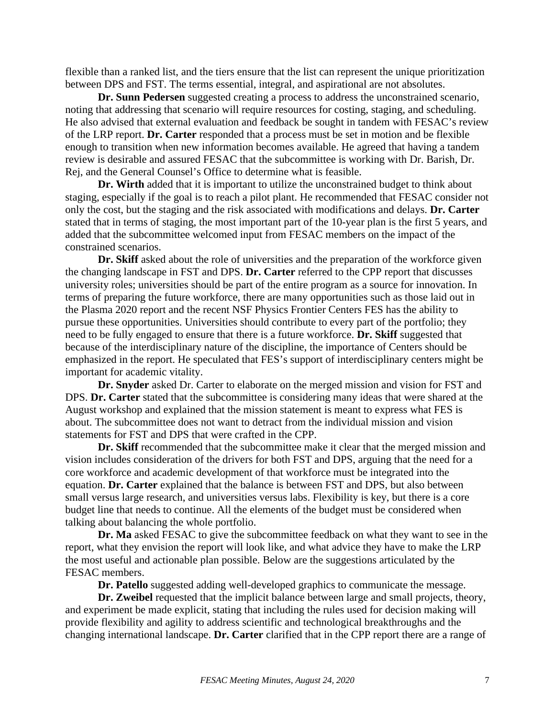flexible than a ranked list, and the tiers ensure that the list can represent the unique prioritization between DPS and FST. The terms essential, integral, and aspirational are not absolutes.

**Dr. Sunn Pedersen** suggested creating a process to address the unconstrained scenario, noting that addressing that scenario will require resources for costing, staging, and scheduling. He also advised that external evaluation and feedback be sought in tandem with FESAC's review of the LRP report. **Dr. Carter** responded that a process must be set in motion and be flexible enough to transition when new information becomes available. He agreed that having a tandem review is desirable and assured FESAC that the subcommittee is working with Dr. Barish, Dr. Rej, and the General Counsel's Office to determine what is feasible.

**Dr. Wirth** added that it is important to utilize the unconstrained budget to think about staging, especially if the goal is to reach a pilot plant. He recommended that FESAC consider not only the cost, but the staging and the risk associated with modifications and delays. **Dr. Carter**  stated that in terms of staging, the most important part of the 10-year plan is the first 5 years, and added that the subcommittee welcomed input from FESAC members on the impact of the constrained scenarios.

**Dr. Skiff** asked about the role of universities and the preparation of the workforce given the changing landscape in FST and DPS. **Dr. Carter** referred to the CPP report that discusses university roles; universities should be part of the entire program as a source for innovation. In terms of preparing the future workforce, there are many opportunities such as those laid out in the Plasma 2020 report and the recent NSF Physics Frontier Centers FES has the ability to pursue these opportunities. Universities should contribute to every part of the portfolio; they need to be fully engaged to ensure that there is a future workforce. **Dr. Skiff** suggested that because of the interdisciplinary nature of the discipline, the importance of Centers should be emphasized in the report. He speculated that FES's support of interdisciplinary centers might be important for academic vitality.

**Dr. Snyder** asked Dr. Carter to elaborate on the merged mission and vision for FST and DPS. **Dr. Carter** stated that the subcommittee is considering many ideas that were shared at the August workshop and explained that the mission statement is meant to express what FES is about. The subcommittee does not want to detract from the individual mission and vision statements for FST and DPS that were crafted in the CPP.

**Dr. Skiff** recommended that the subcommittee make it clear that the merged mission and vision includes consideration of the drivers for both FST and DPS, arguing that the need for a core workforce and academic development of that workforce must be integrated into the equation. **Dr. Carter** explained that the balance is between FST and DPS, but also between small versus large research, and universities versus labs. Flexibility is key, but there is a core budget line that needs to continue. All the elements of the budget must be considered when talking about balancing the whole portfolio.

**Dr. Ma** asked FESAC to give the subcommittee feedback on what they want to see in the report, what they envision the report will look like, and what advice they have to make the LRP the most useful and actionable plan possible. Below are the suggestions articulated by the FESAC members.

**Dr. Patello** suggested adding well-developed graphics to communicate the message.

**Dr. Zweibel** requested that the implicit balance between large and small projects, theory, and experiment be made explicit, stating that including the rules used for decision making will provide flexibility and agility to address scientific and technological breakthroughs and the changing international landscape. **Dr. Carter** clarified that in the CPP report there are a range of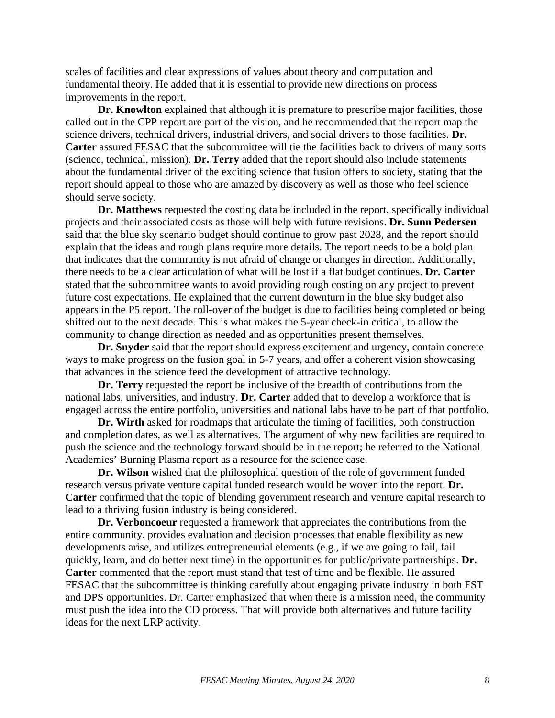scales of facilities and clear expressions of values about theory and computation and fundamental theory. He added that it is essential to provide new directions on process improvements in the report.

**Dr. Knowlton** explained that although it is premature to prescribe major facilities, those called out in the CPP report are part of the vision, and he recommended that the report map the science drivers, technical drivers, industrial drivers, and social drivers to those facilities. **Dr. Carter** assured FESAC that the subcommittee will tie the facilities back to drivers of many sorts (science, technical, mission). **Dr. Terry** added that the report should also include statements about the fundamental driver of the exciting science that fusion offers to society, stating that the report should appeal to those who are amazed by discovery as well as those who feel science should serve society.

**Dr. Matthews** requested the costing data be included in the report, specifically individual projects and their associated costs as those will help with future revisions. **Dr. Sunn Pedersen** said that the blue sky scenario budget should continue to grow past 2028, and the report should explain that the ideas and rough plans require more details. The report needs to be a bold plan that indicates that the community is not afraid of change or changes in direction. Additionally, there needs to be a clear articulation of what will be lost if a flat budget continues. **Dr. Carter** stated that the subcommittee wants to avoid providing rough costing on any project to prevent future cost expectations. He explained that the current downturn in the blue sky budget also appears in the P5 report. The roll-over of the budget is due to facilities being completed or being shifted out to the next decade. This is what makes the 5-year check-in critical, to allow the community to change direction as needed and as opportunities present themselves.

**Dr. Snyder** said that the report should express excitement and urgency, contain concrete ways to make progress on the fusion goal in 5-7 years, and offer a coherent vision showcasing that advances in the science feed the development of attractive technology.

**Dr. Terry** requested the report be inclusive of the breadth of contributions from the national labs, universities, and industry. **Dr. Carter** added that to develop a workforce that is engaged across the entire portfolio, universities and national labs have to be part of that portfolio.

**Dr. Wirth** asked for roadmaps that articulate the timing of facilities, both construction and completion dates, as well as alternatives. The argument of why new facilities are required to push the science and the technology forward should be in the report; he referred to the National Academies' Burning Plasma report as a resource for the science case.

**Dr. Wilson** wished that the philosophical question of the role of government funded research versus private venture capital funded research would be woven into the report. **Dr. Carter** confirmed that the topic of blending government research and venture capital research to lead to a thriving fusion industry is being considered.

**Dr. Verboncoeur** requested a framework that appreciates the contributions from the entire community, provides evaluation and decision processes that enable flexibility as new developments arise, and utilizes entrepreneurial elements (e.g., if we are going to fail, fail quickly, learn, and do better next time) in the opportunities for public/private partnerships. **Dr. Carter** commented that the report must stand that test of time and be flexible. He assured FESAC that the subcommittee is thinking carefully about engaging private industry in both FST and DPS opportunities. Dr. Carter emphasized that when there is a mission need, the community must push the idea into the CD process. That will provide both alternatives and future facility ideas for the next LRP activity.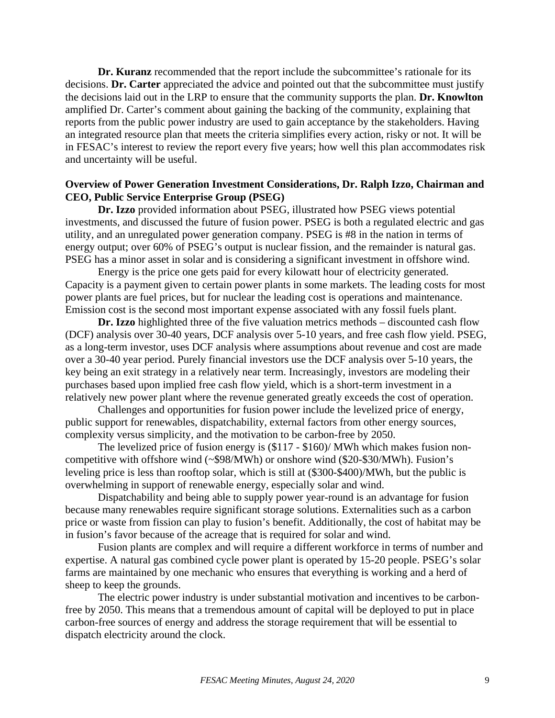**Dr. Kuranz** recommended that the report include the subcommittee's rationale for its decisions. **Dr. Carter** appreciated the advice and pointed out that the subcommittee must justify the decisions laid out in the LRP to ensure that the community supports the plan. **Dr. Knowlton** amplified Dr. Carter's comment about gaining the backing of the community, explaining that reports from the public power industry are used to gain acceptance by the stakeholders. Having an integrated resource plan that meets the criteria simplifies every action, risky or not. It will be in FESAC's interest to review the report every five years; how well this plan accommodates risk and uncertainty will be useful.

## **Overview of Power Generation Investment Considerations, Dr. Ralph Izzo, Chairman and CEO, Public Service Enterprise Group (PSEG)**

**Dr. Izzo** provided information about PSEG, illustrated how PSEG views potential investments, and discussed the future of fusion power. PSEG is both a regulated electric and gas utility, and an unregulated power generation company. PSEG is #8 in the nation in terms of energy output; over 60% of PSEG's output is nuclear fission, and the remainder is natural gas. PSEG has a minor asset in solar and is considering a significant investment in offshore wind.

Energy is the price one gets paid for every kilowatt hour of electricity generated. Capacity is a payment given to certain power plants in some markets. The leading costs for most power plants are fuel prices, but for nuclear the leading cost is operations and maintenance. Emission cost is the second most important expense associated with any fossil fuels plant.

**Dr. Izzo** highlighted three of the five valuation metrics methods – discounted cash flow (DCF) analysis over 30-40 years, DCF analysis over 5-10 years, and free cash flow yield. PSEG, as a long-term investor, uses DCF analysis where assumptions about revenue and cost are made over a 30-40 year period. Purely financial investors use the DCF analysis over 5-10 years, the key being an exit strategy in a relatively near term. Increasingly, investors are modeling their purchases based upon implied free cash flow yield, which is a short-term investment in a relatively new power plant where the revenue generated greatly exceeds the cost of operation.

Challenges and opportunities for fusion power include the levelized price of energy, public support for renewables, dispatchability, external factors from other energy sources, complexity versus simplicity, and the motivation to be carbon-free by 2050.

The levelized price of fusion energy is (\$117 - \$160)/ MWh which makes fusion noncompetitive with offshore wind (~\$98/MWh) or onshore wind (\$20-\$30/MWh). Fusion's leveling price is less than rooftop solar, which is still at (\$300-\$400)/MWh, but the public is overwhelming in support of renewable energy, especially solar and wind.

Dispatchability and being able to supply power year-round is an advantage for fusion because many renewables require significant storage solutions. Externalities such as a carbon price or waste from fission can play to fusion's benefit. Additionally, the cost of habitat may be in fusion's favor because of the acreage that is required for solar and wind.

Fusion plants are complex and will require a different workforce in terms of number and expertise. A natural gas combined cycle power plant is operated by 15-20 people. PSEG's solar farms are maintained by one mechanic who ensures that everything is working and a herd of sheep to keep the grounds.

The electric power industry is under substantial motivation and incentives to be carbonfree by 2050. This means that a tremendous amount of capital will be deployed to put in place carbon-free sources of energy and address the storage requirement that will be essential to dispatch electricity around the clock.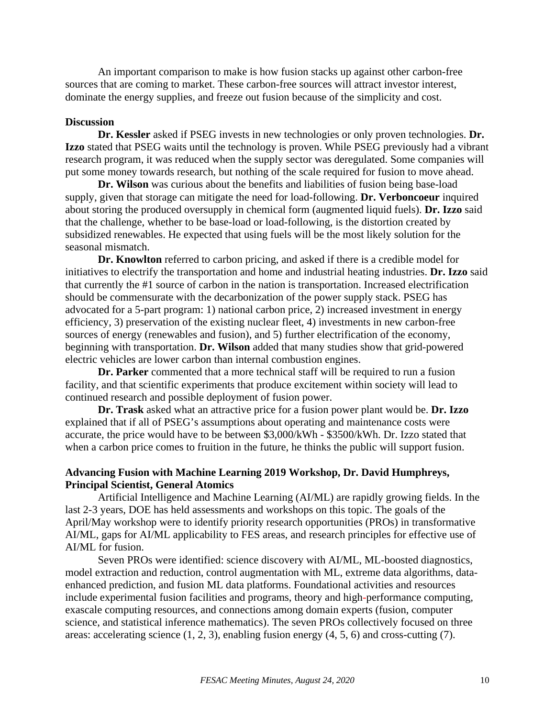An important comparison to make is how fusion stacks up against other carbon-free sources that are coming to market. These carbon-free sources will attract investor interest, dominate the energy supplies, and freeze out fusion because of the simplicity and cost.

#### **Discussion**

**Dr. Kessler** asked if PSEG invests in new technologies or only proven technologies. **Dr. Izzo** stated that PSEG waits until the technology is proven. While PSEG previously had a vibrant research program, it was reduced when the supply sector was deregulated. Some companies will put some money towards research, but nothing of the scale required for fusion to move ahead.

**Dr. Wilson** was curious about the benefits and liabilities of fusion being base-load supply, given that storage can mitigate the need for load-following. **Dr. Verboncoeur** inquired about storing the produced oversupply in chemical form (augmented liquid fuels). **Dr. Izzo** said that the challenge, whether to be base-load or load-following, is the distortion created by subsidized renewables. He expected that using fuels will be the most likely solution for the seasonal mismatch.

**Dr. Knowlton** referred to carbon pricing, and asked if there is a credible model for initiatives to electrify the transportation and home and industrial heating industries. **Dr. Izzo** said that currently the #1 source of carbon in the nation is transportation. Increased electrification should be commensurate with the decarbonization of the power supply stack. PSEG has advocated for a 5-part program: 1) national carbon price, 2) increased investment in energy efficiency, 3) preservation of the existing nuclear fleet, 4) investments in new carbon-free sources of energy (renewables and fusion), and 5) further electrification of the economy, beginning with transportation. **Dr. Wilson** added that many studies show that grid-powered electric vehicles are lower carbon than internal combustion engines.

**Dr. Parker** commented that a more technical staff will be required to run a fusion facility, and that scientific experiments that produce excitement within society will lead to continued research and possible deployment of fusion power.

**Dr. Trask** asked what an attractive price for a fusion power plant would be. **Dr. Izzo** explained that if all of PSEG's assumptions about operating and maintenance costs were accurate, the price would have to be between \$3,000/kWh - \$3500/kWh. Dr. Izzo stated that when a carbon price comes to fruition in the future, he thinks the public will support fusion.

## **Advancing Fusion with Machine Learning 2019 Workshop, Dr. David Humphreys, Principal Scientist, General Atomics**

Artificial Intelligence and Machine Learning (AI/ML) are rapidly growing fields. In the last 2-3 years, DOE has held assessments and workshops on this topic. The goals of the April/May workshop were to identify priority research opportunities (PROs) in transformative AI/ML, gaps for AI/ML applicability to FES areas, and research principles for effective use of AI/ML for fusion.

Seven PROs were identified: science discovery with AI/ML, ML-boosted diagnostics, model extraction and reduction, control augmentation with ML, extreme data algorithms, dataenhanced prediction, and fusion ML data platforms. Foundational activities and resources include experimental fusion facilities and programs, theory and high-performance computing, exascale computing resources, and connections among domain experts (fusion, computer science, and statistical inference mathematics). The seven PROs collectively focused on three areas: accelerating science (1, 2, 3), enabling fusion energy (4, 5, 6) and cross-cutting (7).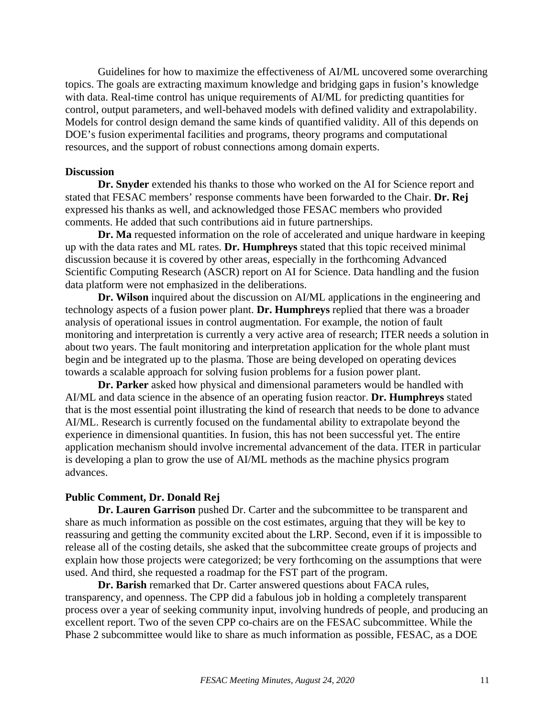Guidelines for how to maximize the effectiveness of AI/ML uncovered some overarching topics. The goals are extracting maximum knowledge and bridging gaps in fusion's knowledge with data. Real-time control has unique requirements of AI/ML for predicting quantities for control, output parameters, and well-behaved models with defined validity and extrapolability. Models for control design demand the same kinds of quantified validity. All of this depends on DOE's fusion experimental facilities and programs, theory programs and computational resources, and the support of robust connections among domain experts.

#### **Discussion**

**Dr. Snyder** extended his thanks to those who worked on the AI for Science report and stated that FESAC members' response comments have been forwarded to the Chair. **Dr. Rej** expressed his thanks as well, and acknowledged those FESAC members who provided comments. He added that such contributions aid in future partnerships.

**Dr. Ma** requested information on the role of accelerated and unique hardware in keeping up with the data rates and ML rates. **Dr. Humphreys** stated that this topic received minimal discussion because it is covered by other areas, especially in the forthcoming Advanced Scientific Computing Research (ASCR) report on AI for Science. Data handling and the fusion data platform were not emphasized in the deliberations.

**Dr. Wilson** inquired about the discussion on AI/ML applications in the engineering and technology aspects of a fusion power plant. **Dr. Humphreys** replied that there was a broader analysis of operational issues in control augmentation. For example, the notion of fault monitoring and interpretation is currently a very active area of research; ITER needs a solution in about two years. The fault monitoring and interpretation application for the whole plant must begin and be integrated up to the plasma. Those are being developed on operating devices towards a scalable approach for solving fusion problems for a fusion power plant.

**Dr. Parker** asked how physical and dimensional parameters would be handled with AI/ML and data science in the absence of an operating fusion reactor. **Dr. Humphreys** stated that is the most essential point illustrating the kind of research that needs to be done to advance AI/ML. Research is currently focused on the fundamental ability to extrapolate beyond the experience in dimensional quantities. In fusion, this has not been successful yet. The entire application mechanism should involve incremental advancement of the data. ITER in particular is developing a plan to grow the use of AI/ML methods as the machine physics program advances.

#### **Public Comment, Dr. Donald Rej**

**Dr. Lauren Garrison** pushed Dr. Carter and the subcommittee to be transparent and share as much information as possible on the cost estimates, arguing that they will be key to reassuring and getting the community excited about the LRP. Second, even if it is impossible to release all of the costing details, she asked that the subcommittee create groups of projects and explain how those projects were categorized; be very forthcoming on the assumptions that were used. And third, she requested a roadmap for the FST part of the program.

**Dr. Barish** remarked that Dr. Carter answered questions about FACA rules, transparency, and openness. The CPP did a fabulous job in holding a completely transparent process over a year of seeking community input, involving hundreds of people, and producing an excellent report. Two of the seven CPP co-chairs are on the FESAC subcommittee. While the Phase 2 subcommittee would like to share as much information as possible, FESAC, as a DOE